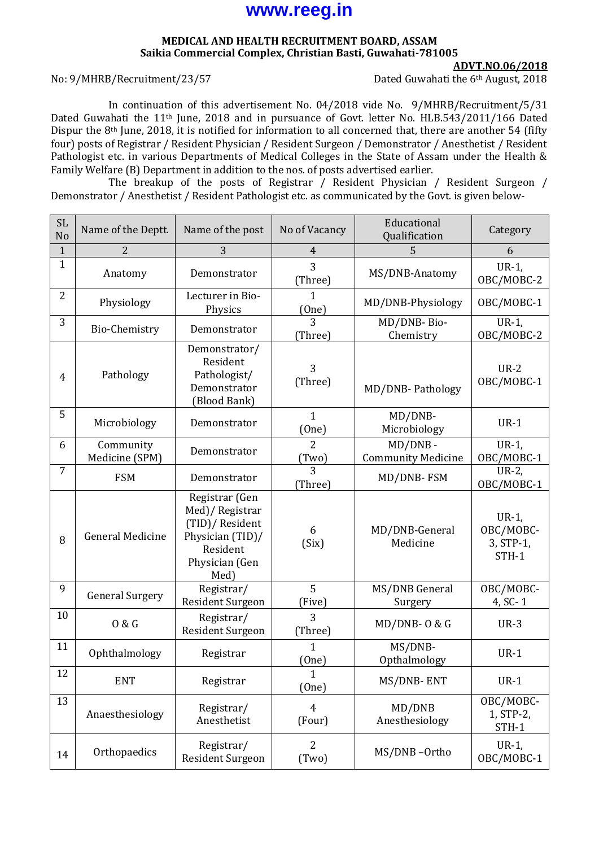# **www.reeg.in**

#### **MEDICAL AND HEALTH RECRUITMENT BOARD, ASSAM Saikia Commercial Complex, Christian Basti, Guwahati-781005**

#### No: 9/MHRB/Recruitment/23/57 Dated Guwahati the 6th August, 2018

**ADVT.NO.06/2018**

In continuation of this advertisement No. 04/2018 vide No. 9/MHRB/Recruitment/5/31 Dated Guwahati the 11<sup>th</sup> June, 2018 and in pursuance of Govt. letter No. HLB.543/2011/166 Dated Dispur the 8th June, 2018, it is notified for information to all concerned that, there are another 54 (fifty four) posts of Registrar / Resident Physician / Resident Surgeon / Demonstrator / Anesthetist / Resident Pathologist etc. in various Departments of Medical Colleges in the State of Assam under the Health & Family Welfare (B) Department in addition to the nos. of posts advertised earlier.

The breakup of the posts of Registrar / Resident Physician / Resident Surgeon / Demonstrator / Anesthetist / Resident Pathologist etc. as communicated by the Govt. is given below-

| <b>SL</b><br>No | Name of the Deptt.          | Name of the post                                                                                              | No of Vacancy                  | Educational<br>Qualification         | Category                                    |
|-----------------|-----------------------------|---------------------------------------------------------------------------------------------------------------|--------------------------------|--------------------------------------|---------------------------------------------|
| $\mathbf{1}$    | $\overline{2}$              | 3                                                                                                             | $\overline{4}$                 | 5                                    | 6                                           |
| $\mathbf{1}$    | Anatomy                     | Demonstrator                                                                                                  | 3<br>(Three)                   | MS/DNB-Anatomy                       | $UR-1$ ,<br>OBC/MOBC-2                      |
| $\overline{2}$  | Physiology                  | Lecturer in Bio-<br>Physics                                                                                   | 1<br>(One)                     | MD/DNB-Physiology                    | OBC/MOBC-1                                  |
| 3               | <b>Bio-Chemistry</b>        | Demonstrator                                                                                                  | (Three)                        | MD/DNB-Bio-<br>Chemistry             | $UR-1$ ,<br>OBC/MOBC-2                      |
| 4               | Pathology                   | Demonstrator/<br>Resident<br>Pathologist/<br>Demonstrator<br>(Blood Bank)                                     | 3<br>(Three)                   | MD/DNB-Pathology                     | $UR-2$<br>OBC/MOBC-1                        |
| 5               | Microbiology                | Demonstrator                                                                                                  | 1<br>(One)                     | MD/DNB-<br>Microbiology              | $UR-1$                                      |
| 6               | Community<br>Medicine (SPM) | Demonstrator                                                                                                  | $\overline{2}$<br><u>(Two)</u> | MD/DNB-<br><b>Community Medicine</b> | $UR-1$ ,<br>OBC/MOBC-1                      |
| $\overline{7}$  | <b>FSM</b>                  | Demonstrator                                                                                                  | $\overline{3}$<br>(Three)      | MD/DNB-FSM                           | UR-2,<br>OBC/MOBC-1                         |
| 8               | <b>General Medicine</b>     | Registrar (Gen<br>Med)/Registrar<br>(TID)/ Resident<br>Physician (TID)/<br>Resident<br>Physician (Gen<br>Med) | 6<br>(Six)                     | MD/DNB-General<br>Medicine           | $UR-1$ ,<br>OBC/MOBC-<br>3, STP-1,<br>STH-1 |
| 9               | <b>General Surgery</b>      | Registrar/<br>Resident Surgeon                                                                                | 5<br>(Five)                    | MS/DNB General<br>Surgery            | OBC/MOBC-<br>4, SC-1                        |
| 10              | 0 & G                       | Registrar/<br><b>Resident Surgeon</b>                                                                         | 3<br>(Three)                   | $MD/DNB-0 & G$                       | $UR-3$                                      |
| 11              | Ophthalmology               | Registrar                                                                                                     | $\mathbf{1}$<br>(One)          | MS/DNB-<br>Opthalmology              | $UR-1$                                      |
| 12              | <b>ENT</b>                  | Registrar                                                                                                     | $\mathbf{1}$<br>(One)          | MS/DNB-ENT                           | $UR-1$                                      |
| 13              | Anaesthesiology             | Registrar/<br>Anesthetist                                                                                     | $\overline{4}$<br>(Four)       | MD/DNB<br>Anesthesiology             | OBC/MOBC-<br>1, STP-2,<br>STH-1             |
| 14              | Orthopaedics                | Registrar/<br>Resident Surgeon                                                                                | $\overline{2}$<br>(Two)        | MS/DNB-Ortho                         | $UR-1$ ,<br>OBC/MOBC-1                      |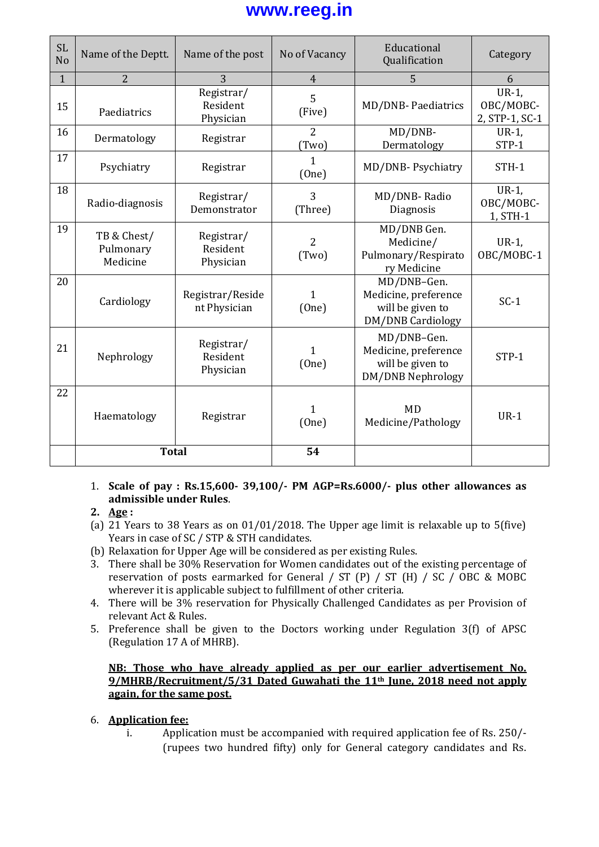# **www.reeg.in**

| <b>SL</b><br>No | Name of the Deptt.                   | Name of the post                    | No of Vacancy           | Educational<br>Qualification                                                        | Category                                |
|-----------------|--------------------------------------|-------------------------------------|-------------------------|-------------------------------------------------------------------------------------|-----------------------------------------|
| $\mathbf{1}$    | $\overline{2}$                       | 3                                   | $\overline{4}$          | 5                                                                                   | 6                                       |
| 15              | Paediatrics                          | Registrar/<br>Resident<br>Physician | 5<br>(Five)             | MD/DNB- Paediatrics                                                                 | $UR-1$ ,<br>OBC/MOBC-<br>2, STP-1, SC-1 |
| 16              | Dermatology                          | Registrar                           | $\overline{2}$<br>(Two) | MD/DNB-<br>Dermatology                                                              | $UR-1$ ,<br>STP-1                       |
| 17              | Psychiatry                           | Registrar                           | 1<br>(One)              | MD/DNB-Psychiatry                                                                   | $STH-1$                                 |
| 18              | Radio-diagnosis                      | Registrar/<br>Demonstrator          | 3<br>(Three)            | MD/DNB-Radio<br>Diagnosis                                                           | $UR-1$ ,<br>OBC/MOBC-<br>1, STH-1       |
| 19              | TB & Chest/<br>Pulmonary<br>Medicine | Registrar/<br>Resident<br>Physician | $\overline{2}$<br>(Two) | MD/DNB Gen.<br>Medicine/<br>Pulmonary/Respirato<br>ry Medicine                      | $UR-1$ ,<br>OBC/MOBC-1                  |
| 20              | Cardiology                           | Registrar/Reside<br>nt Physician    | 1<br>(One)              | MD/DNB-Gen.<br>Medicine, preference<br>will be given to<br><b>DM/DNB Cardiology</b> | $SC-1$                                  |
| 21              | Nephrology                           | Registrar/<br>Resident<br>Physician | 1<br>(One)              | MD/DNB-Gen.<br>Medicine, preference<br>will be given to<br><b>DM/DNB Nephrology</b> | STP-1                                   |
| 22              | Haematology                          | Registrar                           | 1<br>(One)              | <b>MD</b><br>Medicine/Pathology                                                     | $UR-1$                                  |
|                 | <b>Total</b>                         |                                     | 54                      |                                                                                     |                                         |

### 1. **Scale of pay : Rs.15,600- 39,100/- PM AGP=Rs.6000/- plus other allowances as admissible under Rules**.

## **2. Age :**

- (a) 21 Years to 38 Years as on 01/01/2018. The Upper age limit is relaxable up to 5(five) Years in case of SC / STP & STH candidates.
- (b) Relaxation for Upper Age will be considered as per existing Rules.
- 3. There shall be 30% Reservation for Women candidates out of the existing percentage of reservation of posts earmarked for General / ST (P) / ST (H) / SC / OBC & MOBC wherever it is applicable subject to fulfillment of other criteria.
- 4. There will be 3% reservation for Physically Challenged Candidates as per Provision of relevant Act & Rules.
- 5. Preference shall be given to the Doctors working under Regulation 3(f) of APSC (Regulation 17 A of MHRB).

### **NB: Those who have already applied as per our earlier advertisement No. 9/MHRB/Recruitment/5/31 Dated Guwahati the 11th June, 2018 need not apply again, for the same post.**

## 6. **Application fee:**

i. Application must be accompanied with required application fee of Rs. 250/- (rupees two hundred fifty) only for General category candidates and Rs.